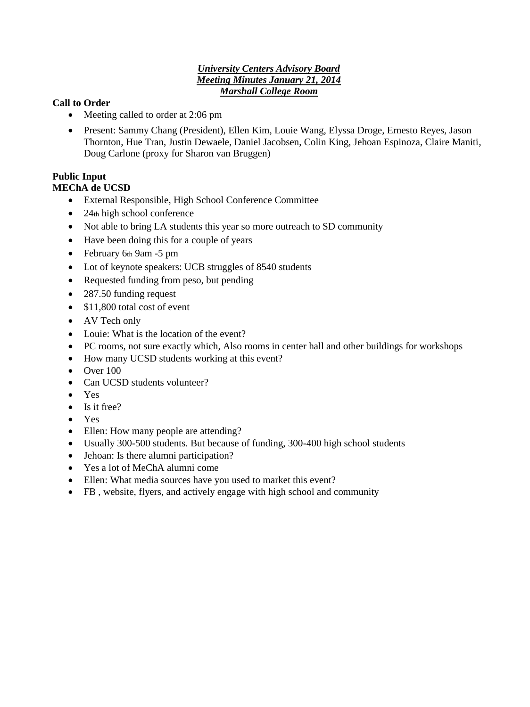#### *University Centers Advisory Board Meeting Minutes January 21, 2014 Marshall College Room*

### **Call to Order**

- Meeting called to order at 2:06 pm
- Present: Sammy Chang (President), Ellen Kim, Louie Wang, Elyssa Droge, Ernesto Reyes, Jason Thornton, Hue Tran, Justin Dewaele, Daniel Jacobsen, Colin King, Jehoan Espinoza, Claire Maniti, Doug Carlone (proxy for Sharon van Bruggen)

# **Public Input**

#### **MEChA de UCSD**

- External Responsible, High School Conference Committee
- $\bullet$  24th high school conference
- Not able to bring LA students this year so more outreach to SD community
- Have been doing this for a couple of years
- February 6th 9am -5 pm
- Lot of keynote speakers: UCB struggles of 8540 students
- Requested funding from peso, but pending
- 287.50 funding request
- $\bullet$  \$11,800 total cost of event
- AV Tech only
- Louie: What is the location of the event?
- PC rooms, not sure exactly which, Also rooms in center hall and other buildings for workshops
- How many UCSD students working at this event?
- $\bullet$  Over 100
- Can UCSD students volunteer?
- Yes
- Is it free?
- Yes
- Ellen: How many people are attending?
- Usually 300-500 students. But because of funding, 300-400 high school students
- Jehoan: Is there alumni participation?
- Yes a lot of MeChA alumni come
- Ellen: What media sources have you used to market this event?
- FB , website, flyers, and actively engage with high school and community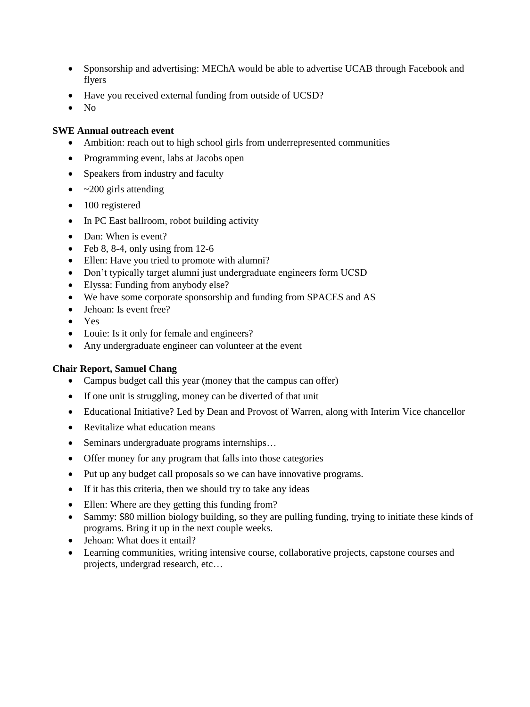- Sponsorship and advertising: MEChA would be able to advertise UCAB through Facebook and flyers
- Have you received external funding from outside of UCSD?
- $\bullet$  No

#### **SWE Annual outreach event**

- Ambition: reach out to high school girls from underrepresented communities
- Programming event, labs at Jacobs open
- Speakers from industry and faculty
- $\bullet$  ~200 girls attending
- 100 registered
- In PC East ballroom, robot building activity
- Dan: When is event?
- Feb 8, 8-4, only using from  $12-6$
- Ellen: Have you tried to promote with alumni?
- Don't typically target alumni just undergraduate engineers form UCSD
- Elyssa: Funding from anybody else?
- We have some corporate sponsorship and funding from SPACES and AS
- Jehoan: Is event free?
- Yes
- Louie: Is it only for female and engineers?
- Any undergraduate engineer can volunteer at the event

#### **Chair Report, Samuel Chang**

- Campus budget call this year (money that the campus can offer)
- If one unit is struggling, money can be diverted of that unit
- Educational Initiative? Led by Dean and Provost of Warren, along with Interim Vice chancellor
- Revitalize what education means
- Seminars undergraduate programs internships...
- Offer money for any program that falls into those categories
- Put up any budget call proposals so we can have innovative programs.
- If it has this criteria, then we should try to take any ideas
- Ellen: Where are they getting this funding from?
- Sammy: \$80 million biology building, so they are pulling funding, trying to initiate these kinds of programs. Bring it up in the next couple weeks.
- Jehoan: What does it entail?
- Learning communities, writing intensive course, collaborative projects, capstone courses and projects, undergrad research, etc…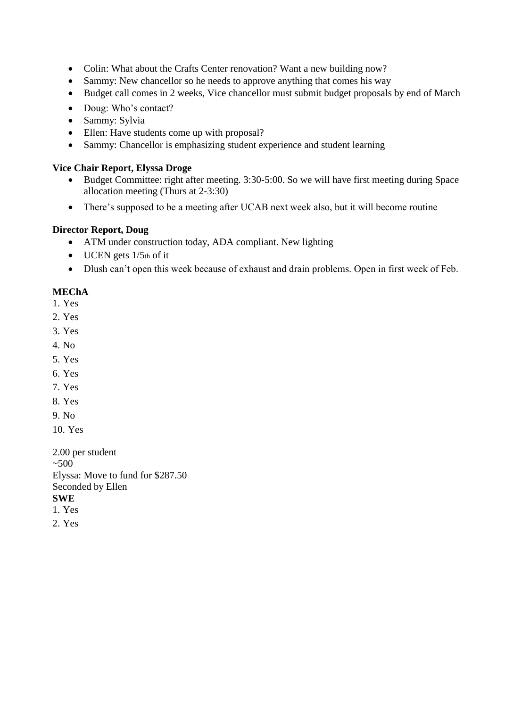- Colin: What about the Crafts Center renovation? Want a new building now?
- Sammy: New chancellor so he needs to approve anything that comes his way
- Budget call comes in 2 weeks, Vice chancellor must submit budget proposals by end of March
- Doug: Who's contact?
- Sammy: Sylvia
- Ellen: Have students come up with proposal?
- Sammy: Chancellor is emphasizing student experience and student learning

### **Vice Chair Report, Elyssa Droge**

- Budget Committee: right after meeting. 3:30-5:00. So we will have first meeting during Space allocation meeting (Thurs at 2-3:30)
- There's supposed to be a meeting after UCAB next week also, but it will become routine

## **Director Report, Doug**

- ATM under construction today, ADA compliant. New lighting
- $\bullet$  UCEN gets  $1/5$ th of it
- Dlush can't open this week because of exhaust and drain problems. Open in first week of Feb.

# **MEChA**

- 1. Yes
- 2. Yes
- 3. Yes
- 4. No
- 5. Yes
- 6. Yes
- 7. Yes
- 8. Yes
- 9. No
- 10. Yes

2.00 per student  $~500$ Elyssa: Move to fund for \$287.50 Seconded by Ellen **SWE**  1. Yes

2. Yes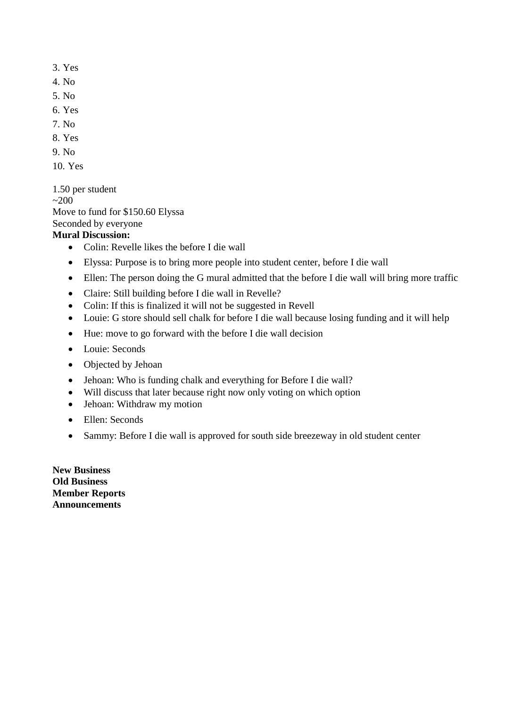- 3. Yes
- 4. No
- 5. No
- 6. Yes
- 7. No
- 8. Yes
- 9. No
- 10. Yes

1.50 per student  $~200$ Move to fund for \$150.60 Elyssa Seconded by everyone

# **Mural Discussion:**

- Colin: Revelle likes the before I die wall
- Elyssa: Purpose is to bring more people into student center, before I die wall
- Ellen: The person doing the G mural admitted that the before I die wall will bring more traffic
- Claire: Still building before I die wall in Revelle?
- Colin: If this is finalized it will not be suggested in Revell
- Louie: G store should sell chalk for before I die wall because losing funding and it will help
- Hue: move to go forward with the before I die wall decision
- Louie: Seconds
- Objected by Jehoan
- Jehoan: Who is funding chalk and everything for Before I die wall?
- Will discuss that later because right now only voting on which option
- Jehoan: Withdraw my motion
- Ellen: Seconds
- Sammy: Before I die wall is approved for south side breezeway in old student center

**New Business Old Business Member Reports Announcements**